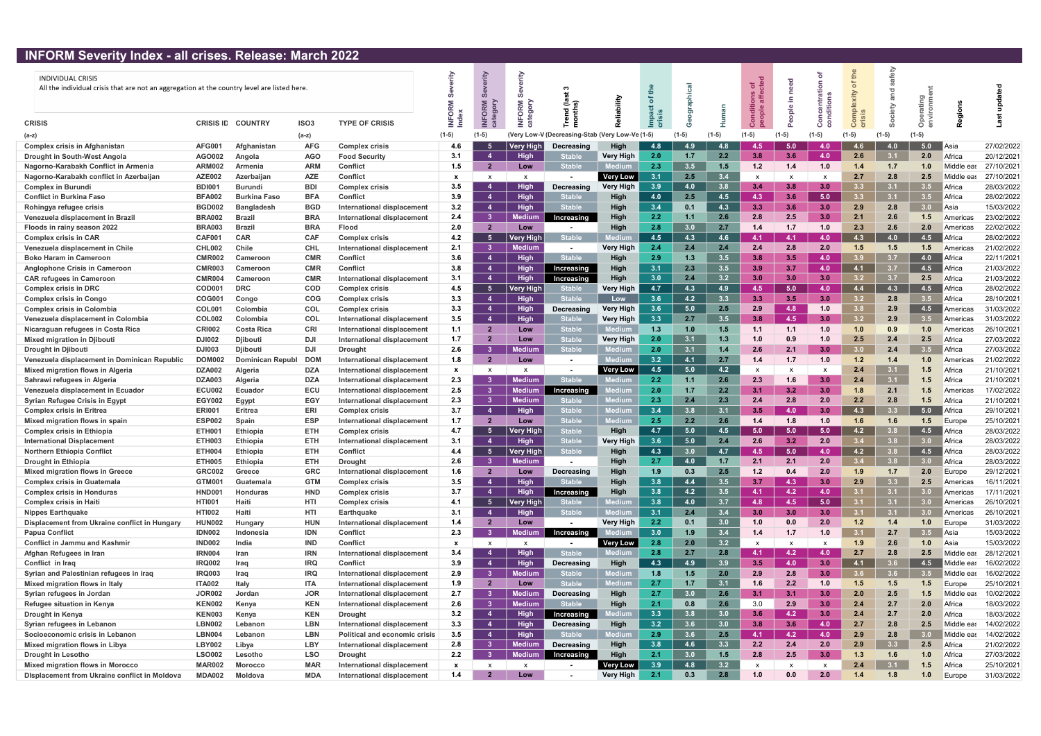## INFORM Severity Index - all crises. Release: March 2022

| <b>INDIVIDUAL CRISIS</b><br>All the individual crisis that are not an aggregation at the country level are listed here |                  |                     |                  |                                      |              | erity<br>ശ്               | rity<br><b>ORM</b><br>agory | end (la<br>onths)            | bility             |                  |                  |         | ಕ ಕೆ                      | $\frac{e}{\rho}$ |                  | the<br>ð<br>xity | fety    | o                |                       |            |
|------------------------------------------------------------------------------------------------------------------------|------------------|---------------------|------------------|--------------------------------------|--------------|---------------------------|-----------------------------|------------------------------|--------------------|------------------|------------------|---------|---------------------------|------------------|------------------|------------------|---------|------------------|-----------------------|------------|
| <b>CRISIS</b>                                                                                                          | <b>CRISIS ID</b> | <b>COUNTRY</b>      | ISO <sub>3</sub> | <b>TYPE OF CRISIS</b>                | Index        | INFORM                    |                             |                              |                    | ௨                |                  |         |                           |                  | ပ                | ပ                |         | $\circ$          |                       |            |
| (a-z)                                                                                                                  |                  |                     | $(a-z)$          |                                      | $(1-5)$      | $(1-5)$                   |                             | (Very Low-V (Decreasing-Stab | (Verv Low-Ve (1-5) |                  | (1-5)            | $(1-5)$ | (1-5)                     |                  | $(1-5)$          | $(1-5)$          | $(1-5)$ | $(1-5)$          |                       |            |
| <b>Complex crisis in Afghanistan</b>                                                                                   | <b>AFG001</b>    | Afghanistan         | <b>AFG</b>       | <b>Complex crisis</b>                | 4.6          |                           | Very High                   | <b>Decreasing</b>            | High               | 4.8              | 49               | 4.8     | -4.5                      | 5.0              | 4.0              |                  | 4.0     | 5.0              | ∥Asia                 | 27/02/2022 |
| Drought in South-West Angola                                                                                           | AGO002           | Angola              | <b>AGO</b>       | <b>Food Security</b>                 | 3.1          |                           | High                        |                              | <b>Very High</b>   | 2.0              | 1.7 <sub>z</sub> | 2.2     | 3.8                       | 3.6              | 4.0              | 2.6              | 3.1     | 2.0              | Africa                | 20/12/2021 |
| Nagorno-Karabakh Conflict in Armenia                                                                                   | <b>ARM002</b>    | Armenia             | <b>ARM</b>       | Conflict                             | 1.5          | $\overline{\mathbf{2}}$   | Low                         | <b>Stable</b>                |                    | 2.3              | 3.5              | 1.5     | 1.2                       | 1.4              | 1.0              | 1.4              | 1.7     | 1.0              | Middle eas            | 27/10/2021 |
| Nagorno-Karabakh conflict in Azerbaijan                                                                                | <b>AZE002</b>    | Azerbaijan          | <b>AZE</b>       | Conflict                             | $\mathbf{x}$ | $\boldsymbol{\mathsf{x}}$ | $\boldsymbol{\mathsf{x}}$   |                              | <b>Very Low</b>    | 3.1              | 2.5              | 3.4     | $\boldsymbol{\mathsf{x}}$ |                  |                  | 2.7              | 2.8     | 2.5              | Middle ea             | 27/10/2021 |
| <b>Complex in Burundi</b>                                                                                              | <b>BDI001</b>    | <b>Burundi</b>      | <b>BDI</b>       | <b>Complex crisis</b>                | 3.5          | 4                         | High                        | Decreasing                   | <b>Very High</b>   | 3.9              | 4.0              | 3.8     | 3.4                       | 3.8 <sub>1</sub> | 3.0              | 3.3              | 3.1     | 3.5              | Africa                | 28/03/2022 |
| <b>Conflict in Burkina Faso</b>                                                                                        | <b>BFA002</b>    | <b>Burkina Faso</b> | <b>BFA</b>       | Conflict                             | 3.9          | $\overline{4}$            | High                        | <b>Stable</b>                | High               | 4.0              | 2.5              | 4.5     | 4.3                       | 3.6 <sub>1</sub> | 5.0              | 3.3 <sub>1</sub> | 3.1     | 3.5              | Africa                | 28/02/2022 |
| Rohingya refugee crisis                                                                                                | <b>BGD002</b>    | <b>Bangladesh</b>   | <b>BGD</b>       | International displacement           | 3.2          | -4                        | High                        | <b>Stable</b>                | High               | 3.4              | 0.1              | 4.3     | 3.3                       | 3.6              | 3.0              | 2.9              | 2.8     | 3.0 <sub>1</sub> | <b>Asia</b>           | 15/03/2022 |
| Venezuela displacement in Brazil                                                                                       | <b>BRA002</b>    | <b>Brazil</b>       | <b>BRA</b>       | International displacement           | 2.4          | - 3                       | <b>Medium</b>               | Increasing                   | High               | 2.2              | 1.1              | 2.6     | 2.8                       | 2.5              | 3.0              | 2.1              | 2.6     | 1.5              | Americas              | 23/02/2022 |
| Floods in rainy season 2022                                                                                            | <b>BRA003</b>    | <b>Brazil</b>       | <b>BRA</b>       | <b>Flood</b>                         | 2.0          | $\overline{2}$            | Low                         |                              | High               | 2.8              | 3.0              | 2.7     | 1.4                       | 1.7              | 1.0              | 2.3              | 2.6     | 2.0              | Americas              | 22/02/2022 |
| <b>Complex crisis in CAR</b>                                                                                           | <b>CAF001</b>    | <b>CAR</b>          | <b>CAF</b>       | <b>Complex crisis</b>                | 4.2          | -5                        | <b>Very High</b>            | <b>Stable</b>                |                    | 4.5              | 4.3              | 4.6     | $-4.1$                    | 4.1              | 4.0              | 4.3              | 4.0     | 4.5              | l Africa              | 28/02/2022 |
| Venezuela displacement in Chile                                                                                        | <b>CHL002</b>    | Chile               | <b>CHL</b>       | International displacement           | 2.1          | -3                        | <b>Medium</b>               |                              | <b>Very High</b>   | 2.4              | 2.4              | 2.4     | 2.4                       | 2.8              | 2.0              | 1.5              | 1.5     | 1.5              | Americas              | 21/02/2022 |
| <b>Boko Haram in Cameroon</b>                                                                                          | <b>CMR002</b>    | Cameroon            | <b>CMR</b>       | Conflict                             | 3.6          | $\boldsymbol{4}$          | <b>High</b>                 | <b>Stable</b>                | <b>High</b>        | 2.9              | 1.3              | 3.5     | 3.8                       | $3.5^{\circ}$    | 4.0              | 3.9              | 3.7     | 4.0              | Africa                | 22/11/2021 |
| <b>Anglophone Crisis in Cameroon</b>                                                                                   | <b>CMR003</b>    | Cameroon            | <b>CMR</b>       | Conflict                             | 3.8          | $\overline{4}$            | <b>High</b>                 | Increasing                   | High               | 3.1              | 2.3              | 3.5     | 3.9                       | 3.7              | 4.0              | 4.1              | 3.7     | 4.5              | Africa                | 21/03/2022 |
| <b>CAR refugees in Cameroon</b>                                                                                        | <b>CMR004</b>    | Cameroon            | <b>CMR</b>       | International displacement           | 3.1          | $\overline{4}$            | High                        | Increasing                   | High               | 3.0              | 2.4              | 3.2     | 3.0                       | 3.0 <sub>1</sub> | 3.0              | 3.2              | 3.7     | 2.5              | Africa                | 21/03/2022 |
| <b>Complex crisis in DRC</b>                                                                                           | COD001           | <b>DRC</b>          | <b>COD</b>       | <b>Complex crisis</b>                | 4.5          | 5                         | Very High                   | <b>Stable</b>                | Very High          | 4.7              | 4.3              | 4.9     | 4.5                       | 5.0              | 4.0              | 4.4              | 4.3     | 4.5              | Africa                | 28/02/2022 |
| <b>Complex crisis in Congo</b>                                                                                         | COG00            | Congo               | <b>COG</b>       | <b>Complex crisis</b>                | 3.3          | 4                         | Hiah                        | <b>Stable</b>                | Low                | 3.6              | 4.2              | 3.3     | 3.3                       | 3.5              | 3.0              | 3.2              | 2.8     | 3.5              | Africa                | 28/10/2021 |
| <b>Complex crisis in Colombia</b>                                                                                      | <b>COL001</b>    | Colombia            | <b>COL</b>       | <b>Complex crisis</b>                | 3.3          | 4                         | Hiah                        | Decreasing                   | <b>Very High</b>   | 3.6              | 5.0              | 2.5     | 2.9                       | 4.8              | 1.0              | 3.8              | 2.9     | 4.5              | Americas              | 31/03/2022 |
| Venezuela displacement in Colombia                                                                                     | <b>COL002</b>    | Colombia            | <b>COL</b>       | International displacement           | 3.5          | 4                         | <b>High</b>                 | <b>Stable</b>                | <b>Very High</b>   | 3.3              | 2.7              | 3.5     | 3.8                       | 4.5              | 3.0              | 3.2              | 2.9     | 3.5              | Americas              | 31/03/2022 |
| Nicaraguan refugees in Costa Rica                                                                                      | <b>CRI002</b>    | Costa Rica          | <b>CRI</b>       | International displacement           | 1.1          | $\overline{\mathbf{2}}$   | Low                         | <b>Stable</b>                | ledium             | 1.3              | 1.0              | 1.5     | 1.1                       | 1.1              | 1.0              | 1.0              | 0.9     | 1.0              | Americas              | 26/10/2021 |
| <b>Mixed migration in Djibouti</b>                                                                                     | <b>DJI002</b>    | <b>Djibouti</b>     | DJI              | International displacement           | 1.7          | $\overline{2}$            | Low                         | <b>Stabl</b>                 | <b>Very High</b>   | 2.0 <sub>1</sub> | 3.1              | 1.3     | 1.0                       | 0.9              | 1.0              | 2.5              | 2.4     | 2.5              | Africa                | 27/03/2022 |
| <b>Drought in Djibouti</b>                                                                                             | <b>DJI003</b>    | <b>Djibouti</b>     | <b>DJI</b>       | <b>Drought</b>                       | 2.6          | -3                        | <b>Medium</b>               | <b>Stable</b>                | Medium             | 2.0              | 3.1              | 1.4     | -2.6                      | 2.1              | 3.0              | 3.0              | 2.4     | 3.5              | Africa                | 27/03/2022 |
| Venezuela displacement in Dominican Republic                                                                           | <b>DOM002</b>    | Dominican Republ    | <b>DOM</b>       | International displacement           | 1.8          | - 2                       | Low                         |                              | Mediur             | 3.2              | 4.1              | 2.7     | 1.4                       | 1.7              | 1.0              | 1.2              | 1.4     | 1.0              | Americas              | 21/02/2022 |
| Mixed migration flows in Algeria                                                                                       | <b>DZA002</b>    | Alɑeria             | <b>DZA</b>       | International displacement           | $\mathbf{x}$ | $\mathsf{x}$              | X                           |                              | <b>Very Low</b>    | 4.5              | 5.0              | 4.2     | x                         |                  |                  | 2.4              | 3.1     | 1.5              | Africa                | 21/10/2021 |
| Sahrawi refugees in Algeria                                                                                            | <b>DZA003</b>    | Algeria             | <b>DZA</b>       | International displacement           | 2.3          |                           | <b>Medium</b>               | <b>Stable</b>                | Medium             | 2.2              | 1.1              | 2.6     | 2.3                       | 1.6              | 3.0              | 2.4              | 3.1     | 1.5              | Africa                | 21/10/2021 |
| Venezuela displacement in Ecuador                                                                                      | <b>ECU002</b>    | <b>Ecuador</b>      | ECU              | International displacement           | 2.5          | - 3                       | <b>Medium</b>               | Increasing                   | ledium             | 2.0              | 1.7              | 2.2     | -3.1                      | 3.2              | 3.0              | 1.8              | 2.1     | 1.5              | Americas              | 17/02/2022 |
| <b>Syrian Refugee Crisis in Egypt</b>                                                                                  | <b>EGY002</b>    | Egypt               | <b>EGY</b>       | International displacement           | 2.3          | -3                        | <b>Mediun</b>               |                              | <b>Medium</b>      | 2.3              | 2.4              | 2.3     | 2.4                       | 2.8              | 2.0              | 2.2              | 2.8     |                  | Africa                | 21/10/2021 |
| <b>Complex crisis in Eritrea</b>                                                                                       | <b>ERI001</b>    | <b>Eritrea</b>      | ERI              | <b>Complex crisis</b>                | 3.7          | $\overline{4}$            | High                        | <b>Stabl</b>                 |                    | 3.4              | 3.8              | 3.1     | 3.5                       | 4.0              | 3.0 <sub>1</sub> | 4.3              | 3.3     | 5.0              | ∎Africa               | 29/10/2021 |
| Mixed migration flows in spain                                                                                         | <b>ESP002</b>    | Spain               | <b>ESP</b>       | International displacement           | 1.7          | $\overline{\mathbf{2}}$   | Low                         | <b>Stable</b>                | Medium             | 2.5              | 2.2              | 2.6     | 1.4                       | 1.8              | 1.0              | 1.6              | 1.6     | 1.5              | Europe                | 25/10/2021 |
| <b>Complex crisis in Ethiopia</b>                                                                                      | <b>ETH001</b>    | <b>Ethiopia</b>     | <b>ETH</b>       | <b>Complex crisis</b>                | 4.7          | -5                        | <b>Very High</b>            | <b>Stabl</b>                 | High               | 4.7              | 5.0              | 4.5     | 5.0                       | 5.0              | 5.0              | 4.2              |         | 4.5              | Africa                | 28/03/2022 |
| <b>International Displacement</b>                                                                                      | <b>ETH003</b>    | Ethiopia            | <b>ETH</b>       | International displacement           | 3.1          |                           | <b>High</b>                 | <b>Stable</b>                | Very High          | 3.6              | 5.0              | 2.4     | -2.6                      | 3.2              | 2.0              |                  | 3.8     | 3.0              | Africa                | 28/03/2022 |
| Northern Ethiopia Conflict                                                                                             | ETH004           | <b>Ethiopia</b>     | ETH              | <b>Conflict</b>                      | 4.4          |                           | <b>Very High</b>            |                              | High               | 4.3              |                  | 4.7     | -4.5                      | 5.0              | 4.0              |                  |         | 4.5              | $\blacksquare$ Africa | 28/03/2022 |
| <b>Drought in Ethiopia</b>                                                                                             | <b>ETH005</b>    | <b>Ethiopia</b>     | <b>ETH</b>       | <b>Drought</b>                       | 2.6          | - 3                       | <b>Medium</b>               |                              | High               | 2.7              | 4.0              | 1.7     | 2.1                       | 2.1              | 2.0              | 3.4              | 3.8     | 3.0              | Africa                | 28/03/2022 |
| <b>Mixed migration flows in Greece</b>                                                                                 | <b>GRC002</b>    | Greece              | <b>GRC</b>       | International displacement           | 1.6          | $\overline{\mathbf{2}}$   | Low                         | Decreasing                   | High               | 1.9              | 0.3              | 2.5     | $1.2$                     | 0.4              | 2.0              | 1.9              | 1.7     | 2.0              | Europe                | 29/12/2021 |
| <b>Complex crisis in Guatemala</b>                                                                                     | GTM001           | Guatemala           | <b>GTM</b>       | <b>Complex crisis</b>                | 3.5          | 4                         | <b>High</b>                 | <b>Stable</b>                | <b>High</b>        | 3.8              | 4.4              | 3.5     | 3.7                       | 4.3              | 3.0              | 2.9              | 3.3     | 2.5              | Americas              | 16/11/2021 |
| <b>Complex crisis in Honduras</b>                                                                                      | <b>HND001</b>    | Honduras            | <b>HND</b>       | <b>Complex crisis</b>                | 3.7          | $\overline{4}$            | <b>High</b>                 | Increasing                   | High               | 3.8              | 4.2              | 3.5     | 4.1                       | 4.2              | 4.0              | 3.1              | 3.1     | 3.0              | Americas              | 17/11/2021 |
| <b>Complex crisis in Haiti</b>                                                                                         | <b>HTI001</b>    | Haiti               | HTI              | <b>Complex crisis</b>                | 4.1          | -5                        | <b>Very High</b>            |                              | lediun             | 3.8              | 4.0              | 3.7     | 4.8                       | 4.5              | 5.0              | 3.1              | 3.1     | 3.0              | Americas              | 26/10/2021 |
| <b>Nippes Earthquake</b>                                                                                               | <b>HTI002</b>    | Haiti               | HTI              | Earthquake                           | 3.1          | $\overline{4}$            | <b>High</b>                 | <b>Stable</b>                | lediun             | 3.1              | 2.4              | 3.4     | 3.0                       | 3.0              | 3.0              | 3.1              | 3.1     | 3.0              | Americas              | 26/10/2021 |
| Displacement from Ukraine conflict in Hungary                                                                          | <b>HUN002</b>    | <b>Hungary</b>      | <b>HUN</b>       | International displacement           | 1.4          | -2                        | Low                         |                              | <b>Very High</b>   | 2.2              | 0.1              | 3.0     | 1.0                       | 0.0              | 2.0              | 1.2              | 1.4     | 1.0              | Europe                | 31/03/2022 |
| Papua Conflict                                                                                                         | <b>IDN002</b>    | Indonesia           | <b>IDN</b>       | Conflict                             | 2.3          | - 3                       | <b>Medium</b>               | Increasing                   |                    | 3.0              | 1.9              | 3.4     | 1.4                       | 1.7              | 1.0              | 3.1              | 2.7     | 3.5              | ∥Asia                 | 15/03/2022 |
| <b>Conflict in Jammu and Kashmir</b>                                                                                   | <b>IND002</b>    | India               | <b>IND</b>       | Conflict                             | $\mathbf{x}$ | $\mathsf{x}$              | $\mathsf{x}$                |                              | <b>Very Low</b>    | 2.8              | 2.0              | 3.2     | $\boldsymbol{\mathsf{x}}$ |                  |                  | 1.9              | 2.6     | 1.0              | Asia                  | 15/03/2022 |
| Afghan Refugees in Iran                                                                                                | <b>IRN004</b>    | Iran                | <b>IRN</b>       | International displacement           | 3.4          | -4                        | <b>High</b>                 | <b>Stable</b>                | <b>Medium</b>      | 2.8              | 2.7              | 2.8     | 4.1                       | 4.2              | 4.0              | 2.7              | 2.8     | 2.5              | Middle eas            | 28/12/2021 |
| Conflict in Iraq                                                                                                       | <b>IRQ002</b>    | Iraq                | <b>IRQ</b>       | Conflict                             | 3.9          | 4                         | <b>High</b>                 | Decreasing                   | High               | 4.3              | 4.9              | 3.9     | 3.5                       | 4.0              | 3.0              | 4.1              | 3.6     | 4.5              | <i>l</i> liddle eas   | 16/02/2022 |
| Syrian and Palestinian refugees in iraq                                                                                | <b>IRQ003</b>    | Iraq                | <b>IRQ</b>       | International displacement           | 2.9          | - 3                       | <b>Medium</b>               | <b>Stable</b>                | Medium             | 1.8              | 1.5              | 2.0     | 2.9                       | 2.8              | 3.0              | 3.6 <sup>°</sup> | 3.6     | 3.5              | Middle eas            | 16/02/2022 |
| Mixed migration flows in Italy                                                                                         | <b>ITA002</b>    | <b>Italy</b>        | <b>ITA</b>       | International displacement           | 1.9          | $\overline{2}$            | Low                         | <b>Stable</b>                | Medium             | 2.7              | 1.7              | 3.1     | 1.6                       | 2.2              | 1.0              | 1.5              | 1.5     | $1.5$            | Europe                | 25/10/2021 |
| Syrian refugees in Jordan                                                                                              | <b>JOR002</b>    | Jordan              | <b>JOR</b>       | International displacement           | 2.7          | - 3                       | <b>Medium</b>               | Decreasing                   | High               | 2.7              | 3.0              | 2.6     | 3.1                       | 3.1              | 3.0              | 2.0              | 2.5     | 1.5              | Middle eas            | 10/02/2022 |
| Refugee situation in Kenya                                                                                             | <b>KEN002</b>    | Kenya               | <b>KEN</b>       | International displacement           | 2.6          | $\mathbf{3}$              | <b>Medium</b>               | <b>Stable</b>                | High               | 2.1              | 0.8              | 2.6     | 3.0                       | 2.9              | 3.0              | 2.4              | 2.7     | 2.0              | Africa                | 18/03/2022 |
| Drought in Kenya                                                                                                       | <b>KEN003</b>    | Kenya               | <b>KEN</b>       | <b>Drought</b>                       | 3.2          | $\overline{4}$            | <b>High</b>                 | Increasing                   |                    | 3.3              | 3.8              | 3.0     | 3.6                       | 4.2              | 3.0              | 2.4              | 2.7     | 2.0              | Africa                | 18/03/2022 |
| Syrian refugees in Lebanon                                                                                             | <b>LBN002</b>    | Lebanon             | <b>LBN</b>       | International displacement           | 3.3          | $\overline{4}$            | <b>High</b>                 | Decreasing                   | High               | 3.2              | 3.6              | 3.0     | 3.8                       | 3.6              | 4.0              | 2.7              | 2.8     | 2.5              | Middle eas            | 14/02/2022 |
| Socioeconomic crisis in Lebanon                                                                                        | <b>LBN004</b>    | Lebanon             | <b>LBN</b>       | <b>Political and economic crisis</b> | 3.5          | -4                        | <b>High</b>                 | <b>Stable</b>                | Medium             | 2.9              | 3.6              | 2.5     | 4.1                       | 4.2              | 4.0              | 2.9              | 2.8     | 3.0              | Middle                | 14/02/2022 |
| Mixed migration flows in Libya                                                                                         | <b>LBY002</b>    | Libya               | <b>LBY</b>       | International displacement           | 2.8          | - 3                       | <b>Medium</b>               | Decreasing                   | High               | 3.8              | 4.6              | 3.3     | 2.2                       | 2.4              | 2.0              | 2.9              | 3.3     | 2.5              | Africa                | 21/02/2022 |
| <b>Drought in Lesotho</b>                                                                                              | <b>LSO002</b>    | Lesotho             | <b>LSO</b>       | <b>Drought</b>                       | 2.2          | -3                        | <b>Medium</b>               | Increasing                   | High               | 2.1              | 3.0              | 1.5     | 2.8                       | 2.5              | 3.0              | 1.3              | 1.6     | 1.0              | Africa                | 27/03/2022 |
| <b>Mixed migration flows in Morocco</b>                                                                                | <b>MAR002</b>    | <b>Morocco</b>      | <b>MAR</b>       | <b>International displacement</b>    | $\mathbf{x}$ | $\boldsymbol{\mathsf{x}}$ | $\mathsf{x}$                |                              | <b>Very Low</b>    | 3.9              | 4.8              | 3.2     | $\boldsymbol{\mathsf{x}}$ | x                | $\mathsf{x}$     | 2.4              | 3.1     |                  | Africa                | 25/10/2021 |
| <b>Displacement from Ukraine conflict in Moldova</b>                                                                   | <b>MDA002</b>    | Moldova             | <b>MDA</b>       | International displacement           | 1.4          |                           | Low                         |                              | <b>Very High</b>   | 2.1              | 0.3              | 2.8     | 1.0                       | 0.0              | 2.0              | 1.4              | 1.8     | 1.0 <sub>1</sub> | Europe                | 31/03/2022 |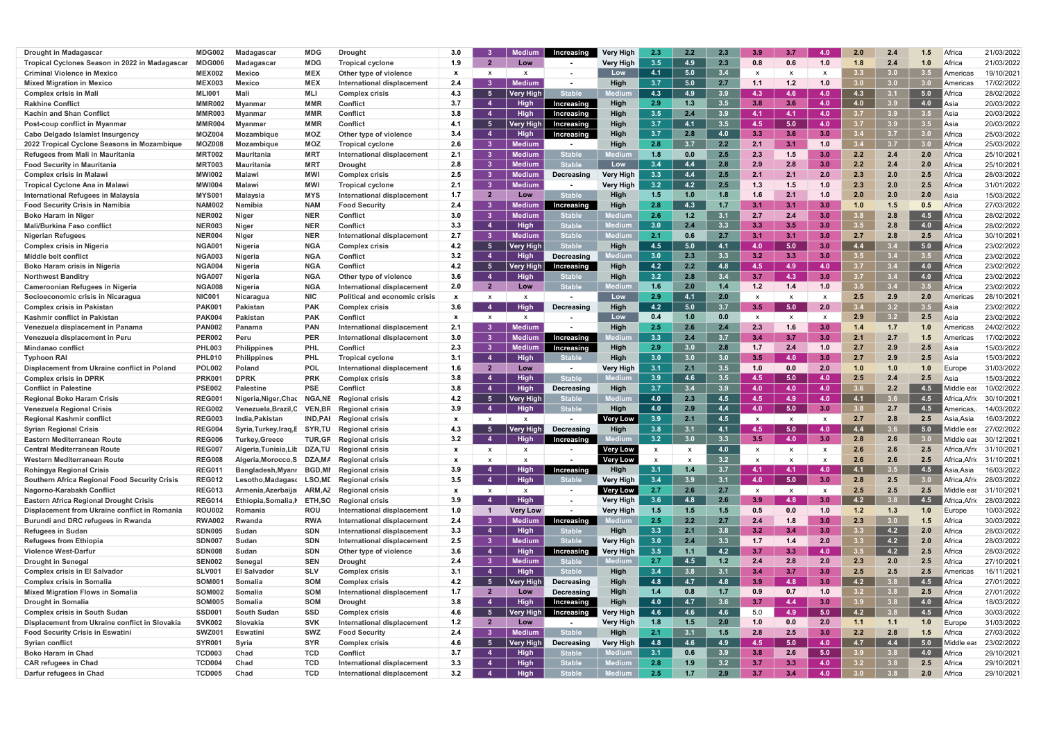| <b>Drought in Madagascar</b>                           | MDG002                         | Madagascar            | <b>MDG</b>               | <b>Drought</b>                                                  | 3.0          |                | Mediun           | Increasing                     | Verv Hiah        | 2.3                       | 2.2        | 2.3        | -3.9                      | 3.7              | 4.0              | 2.0              | 2.4              |                  | Africa                | 21/03/2022               |
|--------------------------------------------------------|--------------------------------|-----------------------|--------------------------|-----------------------------------------------------------------|--------------|----------------|------------------|--------------------------------|------------------|---------------------------|------------|------------|---------------------------|------------------|------------------|------------------|------------------|------------------|-----------------------|--------------------------|
| Tropical Cyclones Season in 2022 in Madagascar         | MDG006                         | Madagascar            | MDG                      | <b>Tropical cyclone</b>                                         | 1.9          | $\overline{2}$ | Low              | $\sim$                         | Very High        | 3.5                       | 4.9        | 2.3        | 0.8                       | 0.6              | 1.0              | 1.8              | 2.4              | 1.0              | Africa                | 21/03/2022               |
| <b>Criminal Violence in Mexico</b>                     | <b>MEX002</b>                  | <b>Mexico</b>         | <b>MEX</b>               | Other type of violence                                          | <b>X</b>     |                | x                | $\sim$                         | Low              | 4.1                       | 5.0        | 3.4        | $\boldsymbol{\mathsf{x}}$ |                  | x                | 3.3              | 3.0              | 3.5              | l Americas            | 19/10/2021               |
| <b>Mixed Migration in Mexico</b>                       | <b>MEX003</b>                  | <b>Mexico</b>         | <b>MEX</b>               | International displacement                                      | 2.4          |                | Medium           | $\sim$                         | High             | 3.7                       | 5.0        | 2.7        | 1.1                       | 1.2              | 1.0              | 3.0              | 3.0              | 3.0              | Americas              | 17/02/2022               |
| <b>Complex crisis in Mali</b>                          | <b>MLI001</b>                  | Mali                  | MLI                      | <b>Complex crisis</b>                                           | 4.3          | -5             | Very High        | <b>Stable</b>                  |                  | 4.3                       | 4.9        | 3.9        | 4.3                       | 4.6 <sup>°</sup> | 4.0              | 4.3              | 3.1              | 5.0              | Africa                | 28/02/2022               |
| <b>Rakhine Conflict</b>                                | <b>MMR002</b>                  | Mvanmar               | <b>MMR</b>               | <b>Conflict</b>                                                 | 3.7          | -4             | <b>High</b>      | Increasing                     | High             | 2.9                       | 1.3        | 3.5        | 3.8                       | 3.6              | 4.0              | 4.0              | 3.9              | 4.0              | l Asia                | 20/03/2022               |
| <b>Kachin and Shan Conflict</b>                        | MMR003                         | Mvanmar               | <b>MMR</b>               | <b>Conflict</b>                                                 | 3.8          | -4             | <b>High</b>      | Increasing                     | High             | 3.5                       | 2.4        | 3.9        | $-4.1$                    | 4.1              | 4.0              | 3.7              | 3.9              | $3.5^{\circ}$    | ∎Asia                 | 20/03/2022               |
| Post-coup conflict in Myanmar                          | <b>MMR004</b>                  | <b>Mvanmar</b>        | <b>MMR</b>               | <b>Conflict</b>                                                 | 4.1          | - 5            | Very High        | Increasing                     | High             | 3.7                       | 4.1        | 3.5        | 4.5                       | 5.0              | 4.0              | 37               | 3.9              | 3.5              | Asia                  | 20/03/2022               |
| Cabo Delgado Islamist Insurgency                       | MOZ004                         | Mozambique            | MOZ                      | Other type of violence                                          | 3.4          | $\overline{4}$ | <b>High</b>      | Increasing                     | High             | 3.7                       | 2.8        | 4.0        | 3.3                       | 3.6              | 3.0              | $3.4^{\circ}$    | 3.7              | 3.0 <sub>1</sub> | Africa                | 25/03/2022               |
| 2022 Tropical Cyclone Seasons in Mozambique            | <b>MOZ008</b>                  | Mozambique            | <b>MOZ</b>               | <b>Tropical cyclone</b>                                         | 2.6          | $\mathbf{3}$   | Mediun           |                                | High             | 2.8                       | 3.7        | 2.2        | 2.1                       | 3.1              | 1.0              | 3.4              | 3.7              | 3.0 <sub>1</sub> | Africa                | 25/03/2022               |
| Refugees from Mali in Mauritania                       | <b>MRT002</b>                  | <b>Mauritania</b>     | <b>MRT</b>               | International displacement                                      | 2.1          | 3              | Medium           | <b>Stable</b>                  |                  | 1.8                       | 0.0        | 2.5        | 2.3                       | 1.5              | 3.0              | 2.2              | 2.4              | 2.0              | Africa                | 25/10/2021               |
| <b>Food Security in Mauritania</b>                     | MRT003                         | Mauritania            | <b>MRT</b>               | <b>Drought</b>                                                  | 2.8          | 3              | <b>Medium</b>    |                                | Low              | 3.4                       | 4.4        | 2.3        | 2.9                       | 2.8              | 3.0              | 2.2              | 2.4              |                  | Africa                | 25/10/2021               |
| <b>Complex crisis in Malaw</b>                         | <b>MWI002</b>                  | <b>Malawi</b>         | <b>MWI</b>               | <b>Complex crisis</b>                                           | 2.5          | 3              | <b>Medium</b>    | Decreasing                     | <b>Very High</b> | 3.3                       | 4.4        | 2.5        | 2.1                       | 2.5              | 2.0              | 2.3              | 2.0              |                  | Africa                | 28/03/2022               |
| Tropical Cyclone Ana in Malawi                         | <b>MWI004</b>                  | Malawi                | <b>MWI</b>               | <b>Tropical cyclone</b>                                         | 2.1          | 3              | <b>Medium</b>    | $\sim$                         | Very High        | 3.2                       | 4.2        | 2.5        | -1.3                      |                  | 1.0              | 2.3              | 2.0              |                  | Africa                | 31/01/2022               |
| International Refugees in Malaysia                     | <b>MYS001</b>                  | Malaysia              | <b>MYS</b>               | <b>International displacement</b>                               | 1.7          | $\overline{2}$ | Low              | <b>Stable</b>                  |                  | 1.5                       | 1.0        | 1.8        |                           |                  | 1.0              | 2.0              | 2.0              | 2.0              | Asia                  | 15/03/2022               |
| <b>Food Security Crisis in Namibia</b>                 | <b>NAM002</b>                  | Namibia               | <b>NAM</b>               | <b>Food Security</b>                                            | 2.4          |                | lediun           | Increasing                     | High             | 2.8                       | 4.3        |            |                           |                  | 3.0 <sub>1</sub> | 1.0              | 1.5              | 0.5              | Africa                | 27/03/2022               |
| <b>Boko Haram in Niger</b>                             | <b>NER002</b>                  | Niger                 | <b>NER</b>               | Conflict                                                        | 3.0          | 3              | Mediun           |                                |                  | 2.6                       | 1.2        | 3.1        | 2.7                       | 2.4              | 3.0              | 3.8              | 2.8              | 4.5              | ∥Africa               | 28/02/2022               |
| <b>Mali/Burkina Faso conflict</b>                      | <b>NER003</b>                  | Niger                 | <b>NER</b>               | Conflict                                                        | 3.3          | $\overline{4}$ | High             | itable                         |                  | 3.0                       | 2.4        | 3.3        | 3.3                       | 3.5              | 3.0              | 3.5              | 2.8              | 4.0              | Africa                | 28/02/2022               |
| <b>Nigerian Refugees</b>                               | <b>NER004</b>                  | Niger                 | <b>NER</b>               | International displacement                                      | 2.7          | $\mathbf{3}$   | <b>Medium</b>    | itable                         | edium            | 2.1                       | 0.6        | 2.7        | 3.1                       | 3.1              | 3.0              | 2.7              | 2.8              | 2.5              | Africa                | 30/10/2021               |
| <b>Complex crisis in Nigeria</b>                       | <b>NGA001</b>                  | Nigeria               | <b>NGA</b>               | <b>Complex crisis</b>                                           | 4.2          | - 5            | <b>Very High</b> | <b>Stable</b>                  | <b>High</b>      | 4.5                       | 5.0        | 4.1        | -4.0                      | 5.0              | 3.0              | 4.4              | 37               | 5.0              | ∥Africa               | 23/02/2022               |
| <b>Middle belt conflict</b>                            | <b>NGA003</b>                  | Nigeria               | <b>NGA</b>               | <b>Conflict</b>                                                 | 3.2          | $\overline{4}$ | <b>High</b>      | Decreasing                     |                  | 3.0                       | 2.3        | 3.3        | 3.2                       | 3.3              | 3.0              | 3.5              | 3.4              |                  | Africa                | 23/02/2022               |
| Boko Haram crisis in Nigeria                           | <b>NGA004</b>                  | Nigeria               | <b>NGA</b>               | Conflict                                                        | 4.2          | -5             | Very High ∣      | Increasing                     | High             | 4.2                       | 2.2        | 4.8        | -4.5                      | 4.9              | 4.0              | 3.7              | 3.4              | 4.0              | Africa                | 23/02/2022               |
| <b>Northwest Banditry</b>                              | <b>NGA007</b>                  | <b>Nigeria</b>        | <b>NGA</b>               | Other type of violence                                          | 3.6          | $\overline{4}$ | <b>High</b>      |                                | High             | 3.2                       | 2.8        | 3.4        | 3.7                       | 4.3              | 3.0 <sub>1</sub> | 3.7              | 3.4              | 4.0              | Africa                | 23/02/2022               |
| Cameroonian Refugees in Nigeria                        | <b>NGA008</b>                  | <b>Nigeria</b>        | <b>NGA</b>               | International displacement                                      | 2.0          | $\overline{2}$ | Low              | Stable                         | ediur            | 1.6                       | 2.0        | 1.4        | 1.2                       | 1.4              | 1.0              | $3.5^{\circ}$    | 3.4              | $3.5^{\circ}$    | Africa                | 23/02/2022               |
| Socioeconomic crisis in Nicaragua                      | <b>NIC001</b>                  | Nicaragua             | <b>NIC</b>               | Political and economic crisis                                   | $\mathbf{x}$ | x              |                  | $\sim$                         | Low              | 2.9                       | 4.1        | 2.0        | X                         |                  | x                | 2.5              | 2.9              | 2.0              | Americas              | 28/10/2021               |
| <b>Complex crisis in Pakistan</b>                      | PAK001                         | Pakistan              | <b>PAK</b>               | <b>Complex crisis</b>                                           | 3.6          | -4             | <b>High</b>      | Decreasing                     | Hiah             | 4.2                       | 5.0        | 3.7        | $3.5^{\circ}$             | 5.0              | 2.0              | 3.4              | 3.2              | $3.5^{\circ}$    | ∎Asia                 | 23/02/2022               |
| Kashmir conflict in Pakistan                           | <b>PAK004</b>                  | Pakistan              | <b>PAK</b>               | Conflict                                                        | $\mathbf{x}$ | X              | X                |                                | Low              | 0.4                       | 1.0        | 0.0        | $\boldsymbol{\mathsf{x}}$ |                  |                  | 2.9              | 3.2              | 2.5              | Asia                  | 23/02/2022               |
| Venezuela displacement in Panama                       | <b>PAN002</b>                  | Panama                | <b>PAN</b>               | International displacement                                      | 2.1          |                | <b>Medium</b>    |                                | High             | 2.5                       | 2.6        | 2.4        | 2.3                       | 1.6              | 3.0              | 1.4              | 1.7              | 1.0              | America               | 24/02/2022               |
| Venezuela displacement in Peru                         | <b>PER002</b>                  | Peru                  | <b>PER</b>               | International displacement                                      | 3.0          |                | <b>Medium</b>    | Increasing                     |                  | 3.3                       | 2.4        | 3.7        | 3.4                       | 3.7              | 3.0              | 2.1              | 2.7              | 1.5              | America               | 17/02/2022               |
| <b>Mindanao conflict</b>                               | <b>PHL003</b>                  | <b>Philippines</b>    | <b>PHL</b>               | Conflict                                                        | 2.3          | $\mathbf{3}$   | Medium           | Increasing                     | High             | 2.9                       | 3.0        | 2.8        | 1.7                       | 2.4              | 1.0              | 2.7              | 2.9              |                  | Asia                  | 15/03/2022               |
| <b>Typhoon RA</b>                                      | <b>PHL010</b>                  | <b>Philippines</b>    | <b>PHL</b>               | <b>Tropical cyclone</b>                                         | 3.1          | $\overline{4}$ | High             |                                | High             | 3.0                       | 3.0        | 3.0        | 3.5                       | 4.0 <sub>1</sub> | 3.0              | 2.7              | 2.9              |                  | Asia                  | 15/03/2022               |
| Displacement from Ukraine conflict in Poland           | <b>POL002</b>                  | Poland                | POL                      | International displacement                                      | 1.6          | $\overline{2}$ | Low              | $\sim$                         | Very High        | 3.1                       | 2.1        | 3.5        | 1.0                       | 0.0              | 2.0              | 1.0              | 1.0              | 1.0              | Europe                | 31/03/2022               |
| <b>Complex crisis in DPRK</b>                          | PRK00                          | <b>DPRK</b>           | <b>PRK</b>               | <b>Complex crisis</b>                                           | 3.8          | $\overline{4}$ | <b>High</b>      | <b>Stable</b>                  |                  | 3.9                       | 4.6        | 3.5        | -4.5                      | 5.0              | 4.0              | 2.5              | 2.4              | 2.5              | Asia                  | 15/03/2022               |
| <b>Conflict in Palestine</b>                           | <b>PSE002</b>                  | <b>Palestine</b>      | <b>PSE</b>               | <b>Conflict</b>                                                 | 3.8          | $\overline{4}$ | High             | Decreasing                     | High             | 3.7                       | 3.4        | 3.9        | 4.0                       | 4.0              | 4.0              |                  | 2.2              | 4.5              | Middle eas            | 10/02/2022               |
| <b>Regional Boko Haram Crisis</b>                      | REG00                          | Nigeria, Niger, Chac  | <b>NGA,NE</b>            | <b>Regional crisis</b>                                          | 4.2          | - 5            | Very Hig         | Stable                         |                  | 4.0                       | 2.3        | 4.5        | 4.5                       | 4.9              | 4.0              | 4.1              | 3.6              | 4.5              | Africa.Afrio          | 30/10/2021               |
| <b>Venezuela Regional Crisis</b>                       | <b>REG002</b>                  | Venezuela,Brazil,C    | <b>VEN,BR</b>            | <b>Regional crisis</b>                                          | 3.9          | $\overline{4}$ | <b>High</b>      |                                | High             | 4.0                       | 2.9        | 4.4        | 4.0                       | 5.0              | 3.0              | 3.8              | 2.7              | 4.5              | Americas,             | 14/03/2022               |
| <b>Regional Kashmir conflict</b>                       | <b>REG003</b>                  | India.Pakistan        | IND.PAI                  | <b>Regional crisis</b>                                          | $\mathbf{x}$ | x              | X                | $\sim$                         | Very Low         | 3.9                       | 2.1        | 4.5        |                           |                  | $\mathsf{x}$     | 2.7              | 2.8              | 2.5              | Asia.Asia             | 16/03/2022               |
| <b>Syrian Regional Crisis</b>                          | <b>REG004</b>                  | Syria,Turkey,Iraq,E   |                          | <b>SYR,TU</b> Regional crisis                                   | 4.3          |                | Very High        | Decreasing                     | High             | 3.8                       | 3.1        | 4.1        | 4.5                       | 5.0              | 4.0              | 4.4              |                  | 5.0              | Middle eas            | 27/02/2022               |
| <b>Eastern Mediterranean Route</b>                     | <b>REG006</b>                  | <b>Turkey, Greece</b> |                          | <b>TUR, GR</b> Regional crisis                                  | 3.2          |                | <b>High</b>      | Increasing                     |                  | 3.2                       |            | 3.3        | 3.5                       | 4.0              | 3.0              | 2.8              | 2.6              |                  | Middle eas            | 30/12/2021               |
| <b>Central Mediterranean Route</b>                     | <b>REG007</b>                  | Algeria.Tunisia.Lit   | <b>DZA,TU</b>            | <b>Regional crisis</b>                                          | $\mathbf{x}$ | X              | X                | $\sim$                         | <b>Very Low</b>  | $\boldsymbol{\mathsf{x}}$ |            | 4.0        | $\boldsymbol{\mathsf{x}}$ | $\mathbf{x}$     | $\mathsf{x}$     | 2.6              | 2.6              | 2.5              | Africa Afric          | 31/10/2021               |
| Western Mediterranean Route                            | <b>REG008</b>                  | Algeria, Morocco, S   |                          | DZA, MA Regional crisis                                         | $\mathbf{x}$ | x              |                  |                                | <b>Very Low</b>  | $\boldsymbol{\mathsf{x}}$ |            | 3.2        | X                         |                  | X                | 2.6              | 2.6              | 2.5              | Africa, Afric         | 31/10/2021               |
| <b>Rohingya Regional Crisis</b>                        | <b>REG011</b>                  | Bangladesh, Myanr     | <b>BGD,MI</b>            | <b>Regional crisis</b>                                          | 3.9          | -4             | <b>High</b>      | Increasing                     | High             | 3.1                       | 1.4        | 3.7        | $-4.1$                    | 4.1              | 4.0              | 4.1              | 3.5              | 4.5              | Asia.Asia             | 16/03/2022               |
| <b>Southern Africa Regional Food Security Crisis</b>   | <b>REG012</b>                  | Lesotho,Madagaso      | <b>LSO,ME</b>            | <b>Regional crisis</b>                                          | 3.5          | $\overline{4}$ | High             | <b>Stable</b>                  | Very High        | 3.4                       | 3.9        | 3.1        | 4.0                       | 5.0              | 3.0              | 2.8              | 2.5              | 3.0              | Africa,Afrio          | 28/03/2022               |
| Nagorno-Karabakh Conflict                              | <b>REG013</b>                  | Armenia, Azerbaija    | ARM,AZ                   | <b>Regional crisis</b>                                          | $\mathbf{x}$ | $\mathsf{X}$   | $\mathsf{X}$     | $\sim$                         | Very Low         | 2.7                       | 2.6        | 2.7        | $\mathsf{x}$              | $\mathbf{x}$     | X                | 2.5              | 2.5              | 2.5              | Middle eas            | 31/10/2021               |
| <b>Eastern Africa Regional Drought Crisis</b>          | <b>REG014</b>                  | Ethiopia, Somalia, I  | <b>ETH,SO</b>            | <b>Regional crisis</b>                                          | 3.9          | -4             | High             | $\sim$ 10 $\pm$                | Very High        | 3.6                       | 4.8        | 2.6        | 3.9                       | 4.8              | 3.0              | 4.2              | 3.8 <sub>1</sub> | 4.5              | ∥Africa,Afrio         | 28/03/2022               |
| Displacement from Ukraine conflict in Romania          | <b>ROU002</b>                  | Romania               | ROU                      | International displacement                                      | 1.0          | $\mathbf 1$    | <b>Very Low</b>  | $\sim$                         | <b>Very High</b> | 1.5                       | 1.5        | 1.5        | 0.5                       | 0.0              | 1.0              | $1.2$            | 1.3              | 1.0              | Europe                | 10/03/2022               |
| Burundi and DRC refugees in Rwanda                     | <b>RWA002</b>                  | Rwanda                | <b>RWA</b>               | International displacement                                      | 2.4          | $\mathbf{3}$   | <b>Medium</b>    | Increasing                     |                  | 2.5                       | 2.2        | 2.7        | 2.4                       | 1.8              | 3.0              | 2.3              | 3.0              | $1.5$            | Africa                | 30/03/2022               |
| <b>Refugees in Sudan</b>                               | <b>SDN005</b>                  | Sudan                 | <b>SDN</b>               | <b>International displacement</b>                               | 3.3          | $\overline{4}$ | <b>High</b>      | Stable                         | High             | 3.3                       | 2.1        | 3.8        | 3.2                       | 3.4              | 3.0              | 3.3              | 4.2              | 2.0              | Africa                | 28/03/2022               |
| <b>Refugees from Ethiopia</b>                          | <b>SDN007</b>                  | Sudan                 | <b>SDN</b>               | <b>International displacement</b>                               | 2.5          | 3 <sup>1</sup> | <b>Medium</b>    | <b>Stable</b>                  | Very High        | 3.0                       | 2.4        | 3.3        | 1.7                       | 1.4              | 2.0              | 3.3              | 4.2              | 2.0              | Africa                | 28/03/2022               |
| <b>Violence West-Darfur</b>                            | <b>SDN008</b>                  | Sudan                 | <b>SDN</b>               | Other type of violence                                          | 3.6          | $\overline{4}$ | High             | Increasing                     | Very High        | 3.5                       | 1.1        | 4.2        | 3.7                       | 3.3 <sub>1</sub> | 4.0              | 3.5              | 4.2              | 2.5              | Africa                | 28/03/2022               |
| <b>Drought in Senegal</b>                              | <b>SEN002</b>                  | Senegal               | <b>SEN</b>               | <b>Drought</b>                                                  | 2.4          | $\mathbf{3}$   | <b>Medium</b>    | Stable                         | edium            | 2.7                       | 4.5        | 1.2        | 2.4                       | 2.8              | 2.0              | 2.3              | 2.0              | 2.5              | Africa                | 27/10/2021               |
| <b>Complex crisis in El Salvador</b>                   | <b>SLV001</b>                  | <b>El Salvador</b>    | <b>SLV</b>               | <b>Complex crisis</b>                                           | 3.1          | $\overline{4}$ | High             | <b>Stable</b>                  | High             | 3.4                       | 3.8        | 3.1        | 3.4                       | 3.7              | 3.0              | 2.5              | 2.5              | 2.5              | Americas              | 16/11/2021               |
| <b>Complex crisis in Somalia</b>                       | <b>SOM001</b>                  | Somalia               | SOM                      | <b>Complex crisis</b>                                           | 4.2          | - 5            | <b>Very Hig</b>  | Decreasing                     | <b>High</b>      | 4.8                       | 4.7        | 4.8        | 3.9                       | 4.8              | 3.0              | 4.2              | 3.8              | 4.5              | $\blacksquare$ Africa | 27/01/2022               |
| <b>Mixed Migration Flows in Somalia</b>                | <b>SOM002</b>                  | Somalia               | <b>SOM</b>               | International displacement                                      | 1.7          | $\overline{2}$ | Low              | Decreasing                     | High             | 1.4                       | 0.8        | 1.7        | 0.9                       | 0.7              | 1.0              | 3.2              | 3.8              | 2.5              | Africa                | 27/01/2022               |
| <b>Drought in Somalia</b>                              | <b>SOM005</b>                  | Somalia               | <b>SOM</b>               | <b>Drought</b>                                                  | 3.8          | $\overline{4}$ | High             | Increasing                     | High             | 4.0                       | 4.7        | 3.6        | 3.7                       | 4.4              | 3.0              | 3.9              | 3.8              | 4.0              | $\blacksquare$ Africa | 18/03/2022               |
| <b>Complex crisis in South Sudan</b>                   | <b>SSD001</b>                  | <b>South Sudan</b>    | <b>SSD</b>               | <b>Complex crisis</b>                                           | 4.6          | $-5$           | Very High        | Increasing                     | Very High        | 4.6                       | 4.6        | 4.6        | 5.0                       | 4.9 <sub>z</sub> | 5.0              | 4.2              | 3.8              | 4.5              | $\blacksquare$ Africa | 30/03/2022               |
| Displacement from Ukraine conflict in Slovakia         | <b>SVK002</b>                  | Slovakia              | <b>SVK</b>               | International displacement                                      | 1.2          | $\overline{2}$ | Low              | $\sim$                         | Very High        | 1.8                       | 1.5        | 2.0        | 1.0                       | 0.0              | 2.0              | 1.1              | 1.1              | 1.0              | Europe                | 31/03/2022               |
| <b>Food Security Crisis in Eswatini</b>                |                                |                       | <b>SWZ</b>               |                                                                 | 2.4          | $\mathbf{3}$   | <b>Medium</b>    | <b>Stable</b>                  | High             | 2.1                       | 3.1        | 1.5        | 2.8                       | 2.5              | 3.0 <sub>1</sub> | 2.2              | 2.8              | 1.5              | Africa                | 27/03/2022               |
|                                                        | <b>SWZ001</b>                  | Eswatini              |                          | <b>Food Security</b>                                            |              |                |                  |                                |                  |                           |            |            |                           |                  |                  |                  |                  |                  |                       |                          |
| Syrian conflict                                        | <b>SYR001</b>                  | Syria                 | <b>SYR</b>               | <b>Complex crisis</b>                                           | 4.6          | - 5            | <b>Very High</b> | Decreasing                     | Very High        | 4.8                       | 4.6        | 4.9        | -4.5                      | 5.0              | 4.0              | 4.7              | 4.4              | 5.0              | Middle ea             | 23/02/2022               |
| <b>Boko Haram in Chad</b>                              | <b>TCD003</b>                  | Chad                  | <b>TCD</b>               | <b>Conflict</b>                                                 | 3.7          | $\overline{4}$ | High             | Stable                         |                  | 3.1                       | 0.6        | 3.9        | 3.8                       | 2.6              | 5.0              | 3.9 <sup>°</sup> | 3.8              | 4.0              | Africa                | 29/10/2021               |
| <b>CAR refugees in Chad</b><br>Darfur refugees in Chad | <b>TCD004</b><br><b>TCD005</b> | Chad<br>Chad          | <b>TCD</b><br><b>TCD</b> | <b>International displacement</b><br>International displacement | 3.3<br>3.2   | $\overline{4}$ | High<br>High     | <b>Stable</b><br><b>Stable</b> | ledium           | 2.8<br>2.5                | 1.9<br>1.7 | 3.2<br>2.9 | 3.7                       | 3.3<br>3.4       | 4.0<br>4.0       | 3.2              | 3.8              | 2.5<br>2.0       | Africa                | 29/10/2021<br>29/10/2021 |